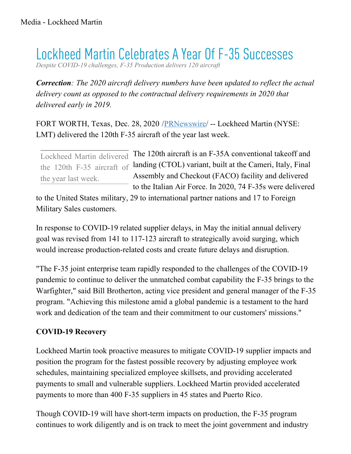## Lockheed Martin Celebrates A Year Of F-35 Successes

*Despite COVID-19 challenges, F-35 Production delivers 120 aircraft*

*Correction: The 2020 aircraft delivery numbers have been updated to reflect the actual delivery count as opposed to the contractual delivery requirements in 2020 that delivered early in 2019.*

FORT WORTH, Texas, Dec. 28, 2020 [/PRNewswire](http://www.prnewswire.com/)/ -- Lockheed Martin (NYSE: LMT) delivered the 120th F-35 aircraft of the year last week.

the year last week.

Lockheed Martin delivered The 120th aircraft is an F-35A conventional takeoff and the 120th F-35 aircraft of landing (CTOL) variant, built at the Cameri, Italy, Final Assembly and Checkout (FACO) facility and delivered to the Italian Air Force. In 2020, 74 F-35s were delivered

to the United States military, 29 to international partner nations and 17 to Foreign Military Sales customers.

In response to COVID-19 related supplier delays, in May the initial annual delivery goal was revised from 141 to 117-123 aircraft to strategically avoid surging, which would increase production-related costs and create future delays and disruption.

"The F-35 joint enterprise team rapidly responded to the challenges of the COVID-19 pandemic to continue to deliver the unmatched combat capability the F-35 brings to the Warfighter," said Bill Brotherton, acting vice president and general manager of the F-35 program. "Achieving this milestone amid a global pandemic is a testament to the hard work and dedication of the team and their commitment to our customers' missions."

## **COVID-19 Recovery**

Lockheed Martin took proactive measures to mitigate COVID-19 supplier impacts and position the program for the fastest possible recovery by adjusting employee work schedules, maintaining specialized employee skillsets, and providing accelerated payments to small and vulnerable suppliers. Lockheed Martin provided accelerated payments to more than 400 F-35 suppliers in 45 states and Puerto Rico.

Though COVID-19 will have short-term impacts on production, the F-35 program continues to work diligently and is on track to meet the joint government and industry